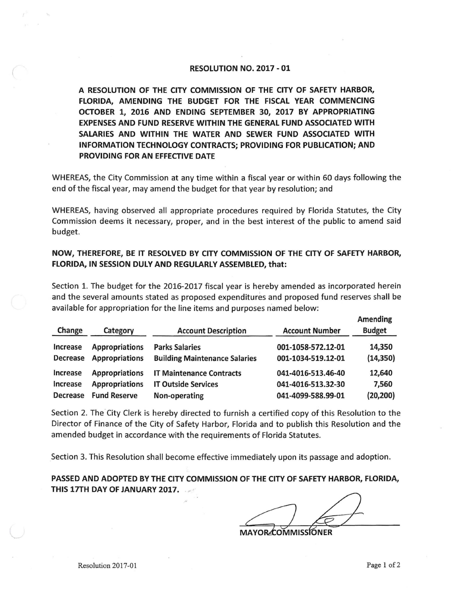## RESOLUTION NO. 2017-01

A RESOLUTION OF THE CITY COMMISSION OF THE CITY OF SAFETY HARBOR, FLORIDA, AMENDING THE BUDGET FOR THE FISCAL YEAR COMMENCING OCTOBER 1, 2016 AND ENDING SEPTEMBER 30, 2017 BY APPROPRIATING **EXPENSES AND FUND RESERVE WITHIN THE GENERAL FUND ASSOCIATED WITH SALARIES AND WITHIN THE WATER AND SEWER FUND ASSOCIATED WITH INFORMATION TECHNOLOGY CONTRACTS; PROVIDING FOR PUBLICATION; AND PROVIDING FOR AN EFFECTIVE DATE** 

WHEREAS, the City Commission at any time within a fiscal year or within 60 days following the end of the fiscal year, may amend the budget for that year by resolution; and

WHEREAS, having observed all appropriate procedures required by Florida Statutes, the City Commission deems it necessary, proper, and in the best interest of the public to amend said budget.

## **NOW, THEREFORE, BE IT RESOLVED BY CITY COMMISSION OF THE CITY OF SAFETY HARBOR, FLORIDA, IN SESSION DULY AND REGULARLY ASSEMBLED, that:**

Section 1. The budget for the 2016-2017 fiscal year is hereby amended as incorporated herein and the several amounts stated as proposed expenditures and proposed fund reserves shall be available for appropriation for the line items and purposes named below:

| Change          | Category              | <b>Account Description</b>           | <b>Account Number</b> | Amending<br><b>Budget</b> |
|-----------------|-----------------------|--------------------------------------|-----------------------|---------------------------|
| <b>Increase</b> | <b>Appropriations</b> | <b>Parks Salaries</b>                | 001-1058-572.12-01    | 14,350                    |
| <b>Decrease</b> | <b>Appropriations</b> | <b>Building Maintenance Salaries</b> | 001-1034-519.12-01    | (14, 350)                 |
| <b>Increase</b> | <b>Appropriations</b> | <b>IT Maintenance Contracts</b>      | 041-4016-513.46-40    | 12,640                    |
| Increase        | <b>Appropriations</b> | <b>IT Outside Services</b>           | 041-4016-513.32-30    | 7,560                     |
| <b>Decrease</b> | <b>Fund Reserve</b>   | Non-operating                        | 041-4099-588.99-01    | (20, 200)                 |

Section 2. The City Clerk is hereby directed to furnish a certified copy of this Resolution to the Director of Finance of the City of Safety Harbor, Florida and to publish this Resolution and the amended budget in accordance with the requirements of Florida Statutes.

Section 3. This Resolution shall become effective immediately upon its passage and adoption.

**PASSED AND ADOPTED BY THE CITY COMMISSION OF THE CITY OF SAFETY HARBOR, FLORIDA, THIS 17TH DAY OF JANUARY 2017.** 

**MAYOR** COMMISSIONER

**Amending**